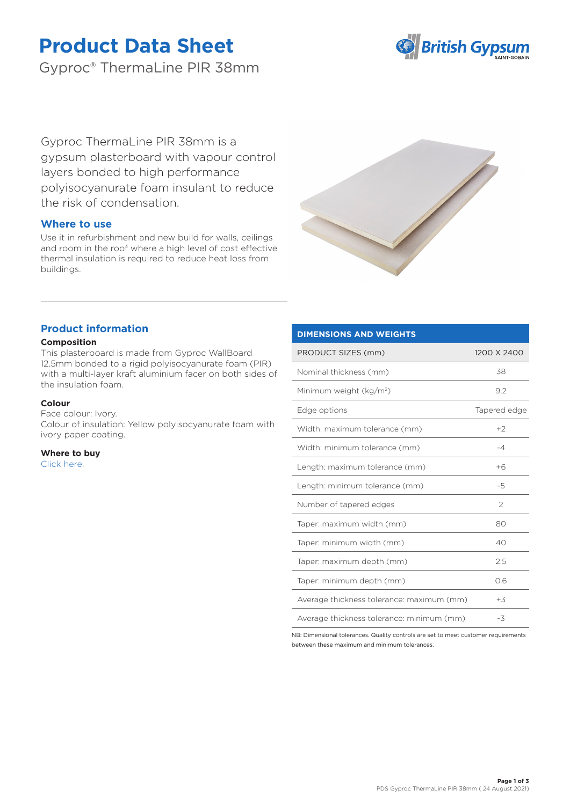# **Product Data Sheet**

Gyproc® ThermaLine PIR 38mm



Gyproc ThermaLine PIR 38mm is a gypsum plasterboard with vapour control layers bonded to high performance polyisocyanurate foam insulant to reduce the risk of condensation.

## **Where to use**

Use it in refurbishment and new build for walls, ceilings and room in the roof where a high level of cost effective thermal insulation is required to reduce heat loss from buildings.



## **Product information**

## **Composition**

This plasterboard is made from Gyproc WallBoard 12.5mm bonded to a rigid polyisocyanurate foam (PIR) with a multi-layer kraft aluminium facer on both sides of the insulation foam.

## **Colour**

Face colour: Ivory.

Colour of insulation: Yellow polyisocyanurate foam with ivory paper coating.

**Where to buy** [Click here.](https://www.british-gypsum.com/stockist-locator)

## **DIMENSIONS AND WEIGHTS**

| PRODUCT SIZES (mm)                        | 1200 X 2400   |
|-------------------------------------------|---------------|
| Nominal thickness (mm)                    | 38            |
| Minimum weight (kg/m <sup>2</sup> )       | 9.2           |
| Edge options                              | Tapered edge  |
| Width: maximum tolerance (mm)             | $+2$          |
| Width: minimum tolerance (mm)             | $-4$          |
| Length: maximum tolerance (mm)            | $+6$          |
| Length: minimum tolerance (mm)            | -5            |
| Number of tapered edges                   | $\mathcal{P}$ |
| Taper: maximum width (mm)                 | 80            |
| Taper: minimum width (mm)                 | 40            |
| Taper: maximum depth (mm)                 | 2.5           |
| Taper: minimum depth (mm)                 | 0.6           |
| Average thickness tolerance: maximum (mm) | $+3$          |
| Average thickness tolerance: minimum (mm) | -3            |

NB: Dimensional tolerances. Quality controls are set to meet customer requirements between these maximum and minimum tolerances.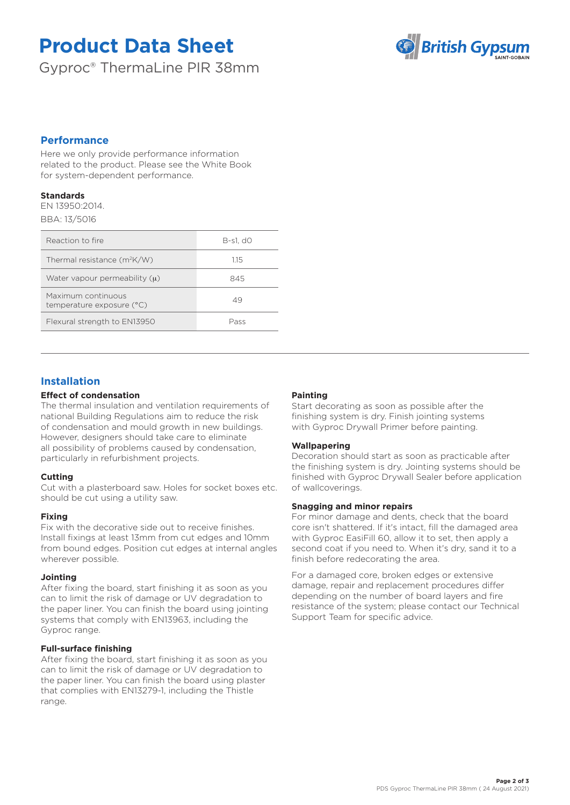# **Product Data Sheet**

Gyproc® ThermaLine PIR 38mm



## **Performance**

Here we only provide performance information related to the product. Please see the White Book for system-dependent performance.

#### **Standards**

EN 13950:2014. BBA: 13/5016

| Reaction to fire                                | B-s1. d0 |
|-------------------------------------------------|----------|
| Thermal resistance $(m^2K/W)$                   | 1.15     |
| Water vapour permeability $(u)$                 | 845      |
| Maximum continuous<br>temperature exposure (°C) | 49       |
| Flexural strength to EN13950                    | Pass     |

# **Installation**

## **Effect of condensation**

The thermal insulation and ventilation requirements of national Building Regulations aim to reduce the risk of condensation and mould growth in new buildings. However, designers should take care to eliminate all possibility of problems caused by condensation, particularly in refurbishment projects.

## **Cutting**

Cut with a plasterboard saw. Holes for socket boxes etc. should be cut using a utility saw.

## **Fixing**

Fix with the decorative side out to receive finishes. Install fixings at least 13mm from cut edges and 10mm from bound edges. Position cut edges at internal angles wherever possible.

## **Jointing**

After fixing the board, start finishing it as soon as you can to limit the risk of damage or UV degradation to the paper liner. You can finish the board using jointing systems that comply with EN13963, including the Gyproc range.

## **Full-surface finishing**

After fixing the board, start finishing it as soon as you can to limit the risk of damage or UV degradation to the paper liner. You can finish the board using plaster that complies with EN13279-1, including the Thistle range.

## **Painting**

Start decorating as soon as possible after the finishing system is dry. Finish jointing systems with Gyproc Drywall Primer before painting.

## **Wallpapering**

Decoration should start as soon as practicable after the finishing system is dry. Jointing systems should be finished with Gyproc Drywall Sealer before application of wallcoverings.

## **Snagging and minor repairs**

For minor damage and dents, check that the board core isn't shattered. If it's intact, fill the damaged area with Gyproc EasiFill 60, allow it to set, then apply a second coat if you need to. When it's dry, sand it to a finish before redecorating the area.

For a damaged core, broken edges or extensive damage, repair and replacement procedures differ depending on the number of board layers and fire resistance of the system; please contact our Technical Support Team for specific advice.